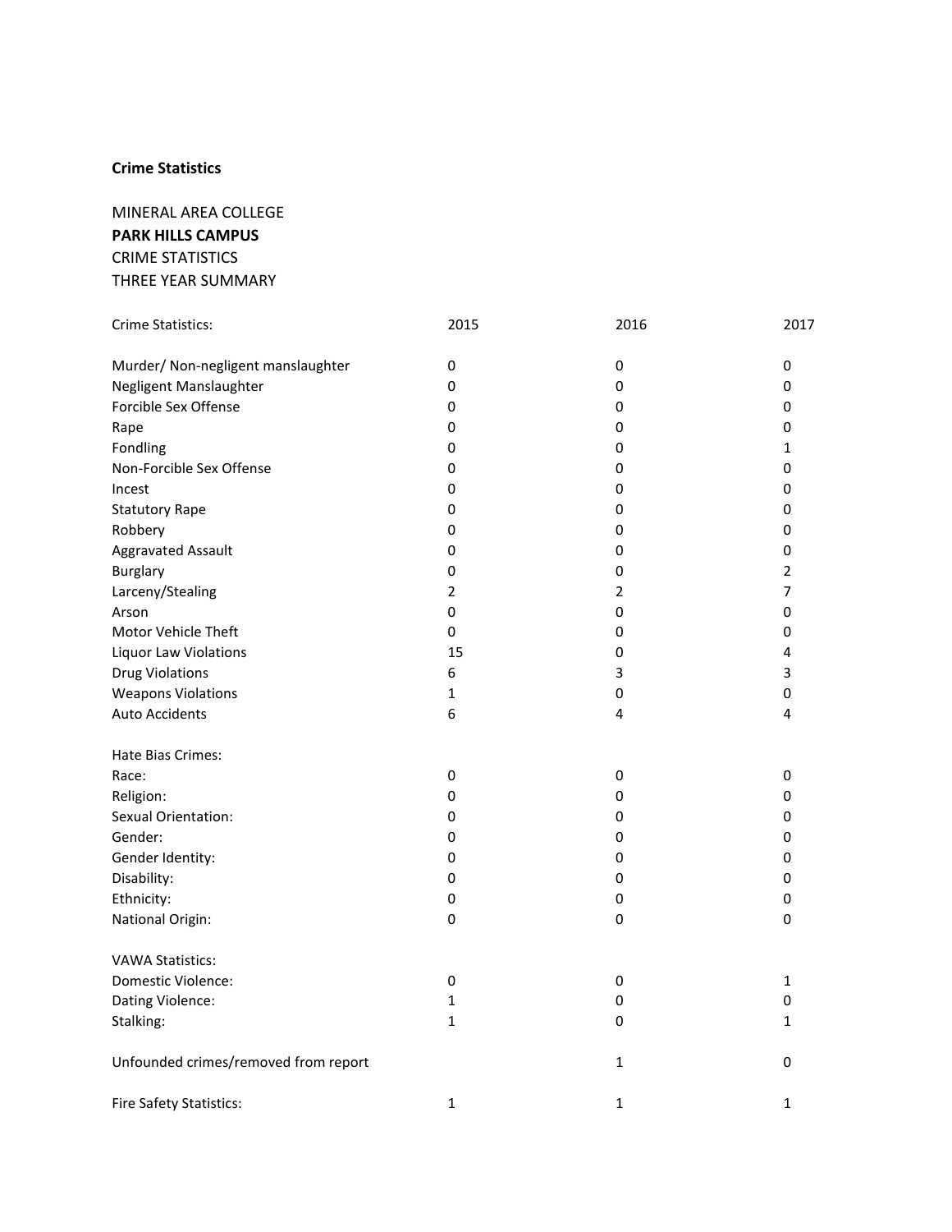MINERAL AREA COLLEGE **PARK HILLS CAMPUS**  CRIME STATISTICS THREE YEAR SUMMARY

| Crime Statistics:                    | 2015           | 2016           | 2017           |
|--------------------------------------|----------------|----------------|----------------|
| Murder/ Non-negligent manslaughter   | $\pmb{0}$      | $\pmb{0}$      | 0              |
| Negligent Manslaughter               | 0              | 0              | 0              |
| Forcible Sex Offense                 | 0              | 0              | 0              |
| Rape                                 | $\pmb{0}$      | 0              | 0              |
| Fondling                             | $\pmb{0}$      | 0              | $\mathbf{1}$   |
| Non-Forcible Sex Offense             | 0              | 0              | 0              |
| Incest                               | 0              | 0              | 0              |
| <b>Statutory Rape</b>                | $\pmb{0}$      | 0              | 0              |
| Robbery                              | 0              | 0              | 0              |
| <b>Aggravated Assault</b>            | 0              | 0              | 0              |
| <b>Burglary</b>                      | $\pmb{0}$      | $\pmb{0}$      | $\overline{2}$ |
| Larceny/Stealing                     | $\overline{2}$ | $\overline{2}$ | 7              |
| Arson                                | $\mathsf 0$    | 0              | 0              |
| Motor Vehicle Theft                  | 0              | 0              | 0              |
| <b>Liquor Law Violations</b>         | 15             | 0              | 4              |
| <b>Drug Violations</b>               | 6              | 3              | 3              |
| <b>Weapons Violations</b>            | 1              | 0              | 0              |
| <b>Auto Accidents</b>                | 6              | 4              | 4              |
| Hate Bias Crimes:                    |                |                |                |
| Race:                                | $\pmb{0}$      | $\pmb{0}$      | 0              |
| Religion:                            | $\pmb{0}$      | 0              | 0              |
| Sexual Orientation:                  | 0              | 0              | 0              |
| Gender:                              | 0              | 0              | 0              |
| Gender Identity:                     | 0              | $\mathsf 0$    | 0              |
| Disability:                          | $\pmb{0}$      | $\pmb{0}$      | 0              |
| Ethnicity:                           | $\pmb{0}$      | $\pmb{0}$      | 0              |
| National Origin:                     | 0              | 0              | 0              |
| <b>VAWA Statistics:</b>              |                |                |                |
| Domestic Violence:                   | 0              | 0              | $\mathbf{1}$   |
| Dating Violence:                     | 1              | 0              | 0              |
| Stalking:                            | $\mathbf 1$    | 0              | 1              |
| Unfounded crimes/removed from report |                | $\mathbf{1}$   | 0              |
| Fire Safety Statistics:              | $\mathbf{1}$   | $\mathbf{1}$   | 1              |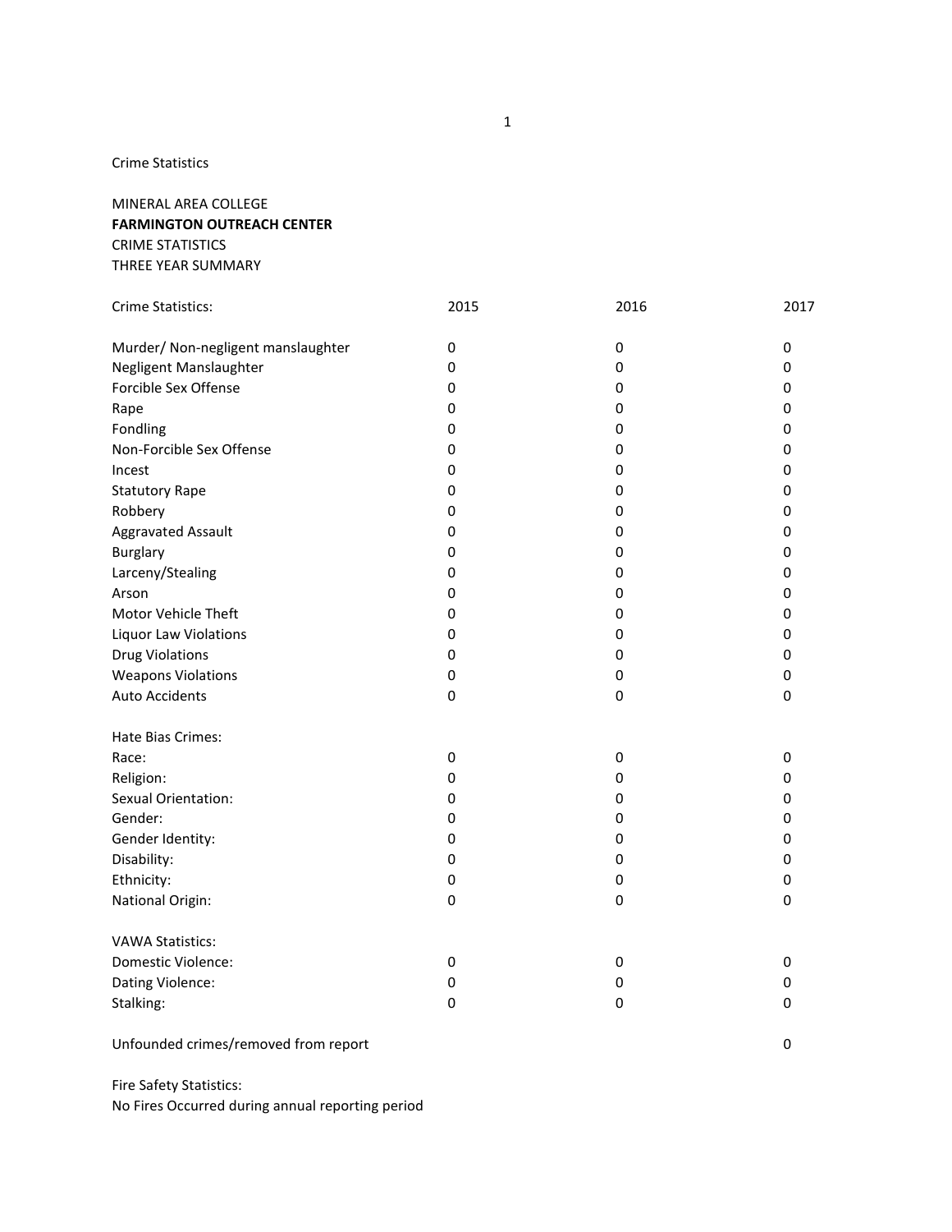## MINERAL AREA COLLEGE **FARMINGTON OUTREACH CENTER**  CRIME STATISTICS THREE YEAR SUMMARY

| Crime Statistics:                  | 2015        | 2016        | 2017      |
|------------------------------------|-------------|-------------|-----------|
| Murder/ Non-negligent manslaughter | $\pmb{0}$   | $\mathsf 0$ | 0         |
| Negligent Manslaughter             | 0           | $\pmb{0}$   | 0         |
| Forcible Sex Offense               | 0           | 0           | 0         |
| Rape                               | 0           | 0           | 0         |
| Fondling                           | 0           | 0           | 0         |
| Non-Forcible Sex Offense           | 0           | 0           | 0         |
| Incest                             | 0           | 0           | 0         |
| <b>Statutory Rape</b>              | 0           | 0           | 0         |
| Robbery                            | 0           | 0           | 0         |
| Aggravated Assault                 | 0           | 0           | 0         |
| Burglary                           | $\pmb{0}$   | 0           | 0         |
| Larceny/Stealing                   | 0           | 0           | 0         |
| Arson                              | 0           | 0           | 0         |
| Motor Vehicle Theft                | 0           | 0           | 0         |
| Liquor Law Violations              | 0           | 0           | 0         |
| <b>Drug Violations</b>             | 0           | $\pmb{0}$   | 0         |
| <b>Weapons Violations</b>          | 0           | 0           | 0         |
| <b>Auto Accidents</b>              | 0           | $\pmb{0}$   | 0         |
| Hate Bias Crimes:                  |             |             |           |
| Race:                              | 0           | 0           | 0         |
| Religion:                          | $\mathbf 0$ | 0           | 0         |
| Sexual Orientation:                | 0           | 0           | 0         |
| Gender:                            | 0           | 0           | 0         |
| Gender Identity:                   | 0           | 0           | 0         |
| Disability:                        | 0           | 0           | 0         |
| Ethnicity:                         | 0           | 0           | 0         |
| National Origin:                   | $\mathbf 0$ | 0           | 0         |
| <b>VAWA Statistics:</b>            |             |             |           |
| Domestic Violence:                 | 0           | 0           | 0         |
| Dating Violence:                   | 0           | 0           | 0         |
| Stalking:                          | $\mathbf 0$ | $\mathbf 0$ | $\pmb{0}$ |

Unfounded crimes/removed from report 0

Fire Safety Statistics: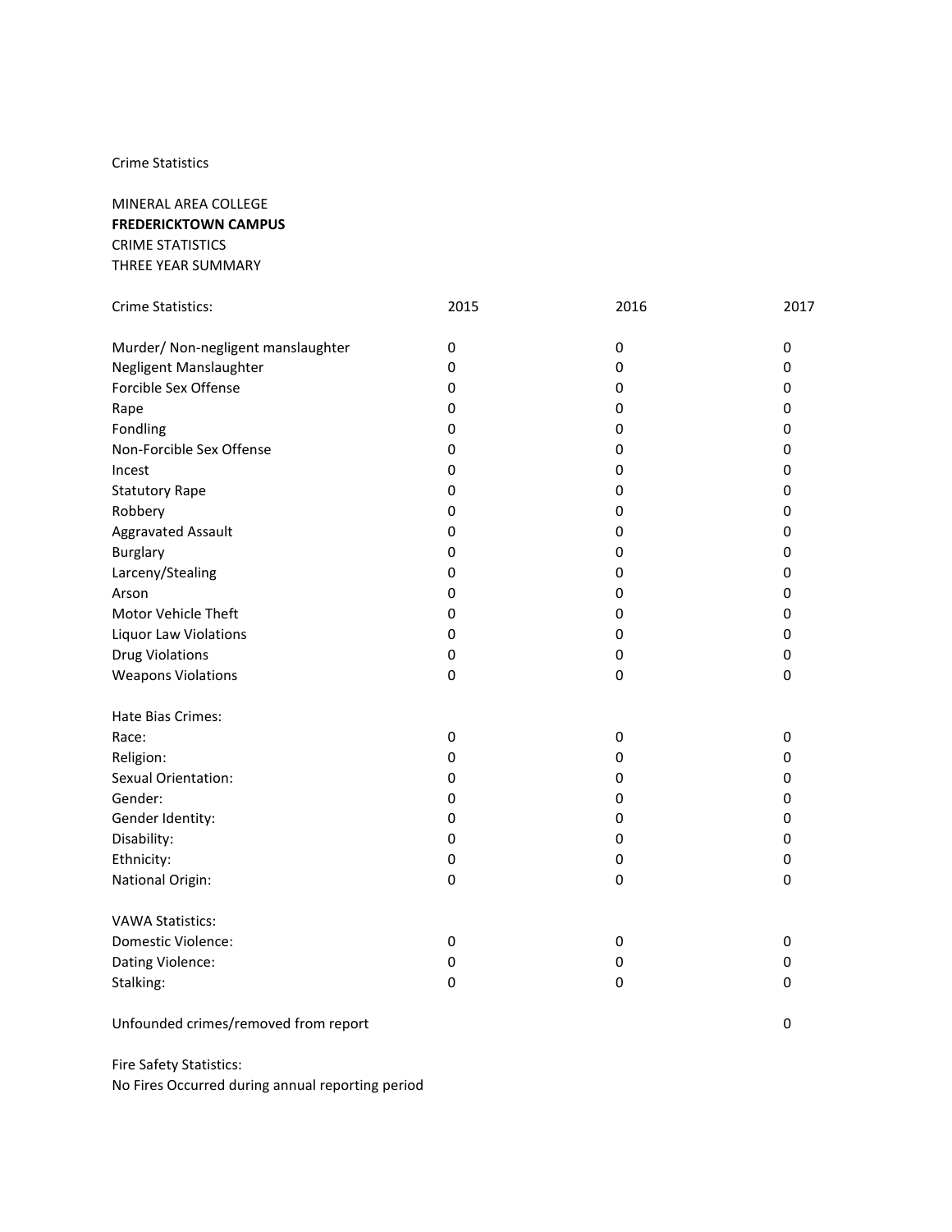| MINERAL AREA COLLEGE        |
|-----------------------------|
| <b>FREDERICKTOWN CAMPUS</b> |
| CRIME STATISTICS            |
| THREE YEAR SUMMARY          |

| Crime Statistics:                  | 2015        | 2016      | 2017        |
|------------------------------------|-------------|-----------|-------------|
|                                    |             |           |             |
| Murder/ Non-negligent manslaughter | $\pmb{0}$   | $\pmb{0}$ | 0           |
| Negligent Manslaughter             | 0           | 0         | 0           |
| Forcible Sex Offense               | $\mathbf 0$ | 0         | 0           |
| Rape                               | 0           | 0         | 0           |
| Fondling                           | $\mathbf 0$ | 0         | 0           |
| Non-Forcible Sex Offense           | $\mathbf 0$ | 0         | 0           |
| Incest                             | 0           | 0         | 0           |
| <b>Statutory Rape</b>              | 0           | 0         | 0           |
| Robbery                            | 0           | 0         | 0           |
| Aggravated Assault                 | 0           | 0         | 0           |
| <b>Burglary</b>                    | 0           | 0         | 0           |
| Larceny/Stealing                   | $\mathbf 0$ | 0         | 0           |
| Arson                              | 0           | 0         | 0           |
| Motor Vehicle Theft                | 0           | 0         | 0           |
| Liquor Law Violations              | 0           | 0         | 0           |
| <b>Drug Violations</b>             | 0           | 0         | 0           |
| <b>Weapons Violations</b>          | $\pmb{0}$   | 0         | 0           |
| Hate Bias Crimes:                  |             |           |             |
| Race:                              | $\pmb{0}$   | $\pmb{0}$ | 0           |
| Religion:                          | $\pmb{0}$   | 0         | 0           |
| Sexual Orientation:                | 0           | 0         | 0           |
| Gender:                            | 0           | 0         | 0           |
| Gender Identity:                   | 0           | 0         | 0           |
| Disability:                        | $\pmb{0}$   | $\pmb{0}$ | 0           |
| Ethnicity:                         | $\pmb{0}$   | 0         | 0           |
| National Origin:                   | $\pmb{0}$   | 0         | 0           |
| <b>VAWA Statistics:</b>            |             |           |             |
| Domestic Violence:                 | 0           | 0         | 0           |
| Dating Violence:                   | 0           | 0         | 0           |
| Stalking:                          | $\pmb{0}$   | $\pmb{0}$ | $\mathbf 0$ |
|                                    |             |           |             |

Unfounded crimes/removed from report 0

Fire Safety Statistics: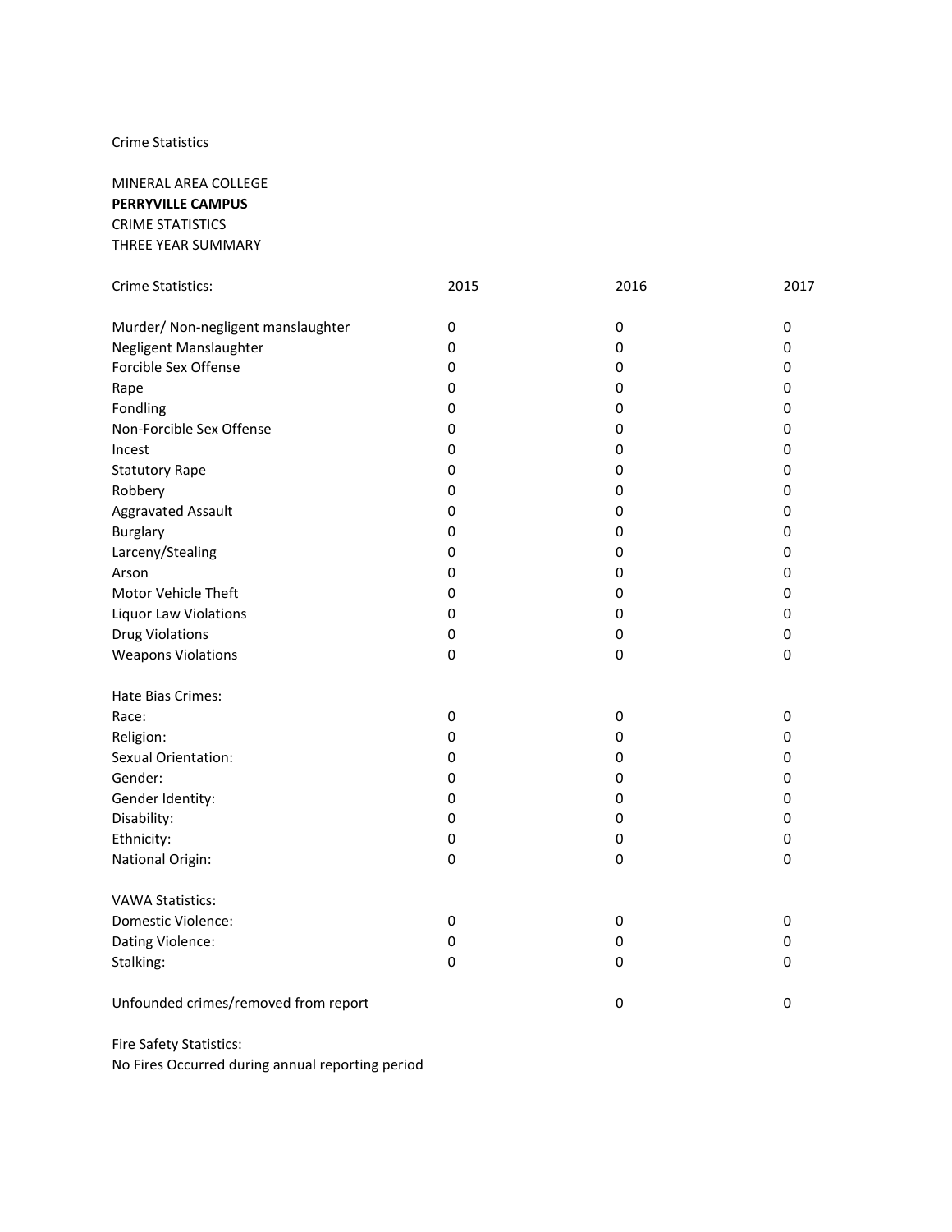MINERAL AREA COLLEGE **PERRYVILLE CAMPUS** CRIME STATISTICS THREE YEAR SUMMARY

| Crime Statistics:                    | 2015        | 2016      | 2017 |
|--------------------------------------|-------------|-----------|------|
| Murder/ Non-negligent manslaughter   | $\mathbf 0$ | 0         | 0    |
| Negligent Manslaughter               | 0           | 0         | 0    |
| Forcible Sex Offense                 | $\mathbf 0$ | 0         | 0    |
| Rape                                 | $\pmb{0}$   | 0         | 0    |
| Fondling                             | 0           | 0         | 0    |
| Non-Forcible Sex Offense             | $\pmb{0}$   | $\pmb{0}$ | 0    |
| Incest                               | $\pmb{0}$   | 0         | 0    |
| <b>Statutory Rape</b>                | 0           | 0         | 0    |
| Robbery                              | 0           | 0         | 0    |
| Aggravated Assault                   | 0           | 0         | 0    |
| <b>Burglary</b>                      | 0           | 0         | 0    |
| Larceny/Stealing                     | 0           | $\pmb{0}$ | 0    |
| Arson                                | $\pmb{0}$   | $\pmb{0}$ | 0    |
| Motor Vehicle Theft                  | $\pmb{0}$   | $\pmb{0}$ | 0    |
| Liquor Law Violations                | $\mathbf 0$ | $\pmb{0}$ | 0    |
| <b>Drug Violations</b>               | $\pmb{0}$   | $\pmb{0}$ | 0    |
| <b>Weapons Violations</b>            | $\pmb{0}$   | $\pmb{0}$ | 0    |
| Hate Bias Crimes:                    |             |           |      |
| Race:                                | $\pmb{0}$   | 0         | 0    |
| Religion:                            | $\pmb{0}$   | $\pmb{0}$ | 0    |
| Sexual Orientation:                  | 0           | 0         | 0    |
| Gender:                              | 0           | 0         | 0    |
| Gender Identity:                     | 0           | 0         | 0    |
| Disability:                          | 0           | $\pmb{0}$ | 0    |
| Ethnicity:                           | 0           | $\pmb{0}$ | 0    |
| National Origin:                     | $\pmb{0}$   | 0         | 0    |
| <b>VAWA Statistics:</b>              |             |           |      |
| Domestic Violence:                   | 0           | 0         | 0    |
| Dating Violence:                     | $\mathbf 0$ | 0         | 0    |
| Stalking:                            | $\mathbf 0$ | 0         | 0    |
| Unfounded crimes/removed from report |             | $\pmb{0}$ | 0    |

Fire Safety Statistics: